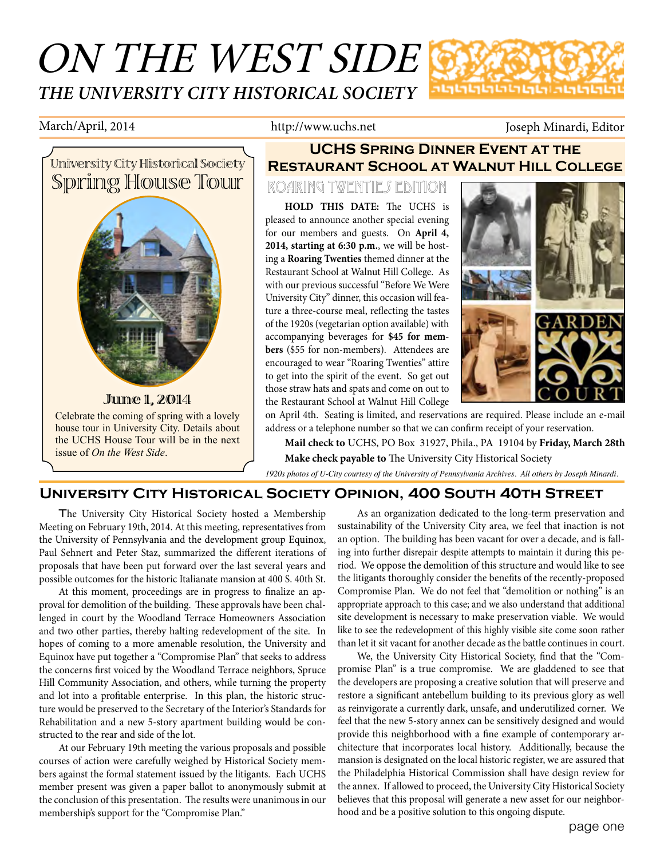## ON THE WEST SIDE *THE UNIVERSITY CITY HISTORICAL SOCIETY* **ภตตตตตตตตตตตตตตต**

March/April, 2014 http://www.uchs.net Joseph Minardi, Editor



## **UCHS Spring Dinner Event at the Restaurant School at Walnut Hill College**

### Roaring Twenties Edition

**HOLD THIS DATE:** The UCHS is pleased to announce another special evening for our members and guests. On **April 4, 2014, starting at 6:30 p.m.**, we will be hosting a **Roaring Twenties** themed dinner at the Restaurant School at Walnut Hill College. As with our previous successful "Before We Were University City" dinner, this occasion will feature a three-course meal, reflecting the tastes of the 1920s (vegetarian option available) with accompanying beverages for **\$45 for members** (\$55 for non-members). Attendees are encouraged to wear "Roaring Twenties" attire to get into the spirit of the event. So get out those straw hats and spats and come on out to the Restaurant School at Walnut Hill College



on April 4th. Seating is limited, and reservations are required. Please include an e-mail address or a telephone number so that we can confirm receipt of your reservation.

**Mail check to** UCHS, PO Box 31927, Phila., PA 19104 by **Friday, March 28th Make check payable to** The University City Historical Society

*1920s photos of U-City courtesy of the University of Pennsylvania Archives. All others by Joseph Minardi.*

### **University City Historical Society Opinion, 400 South 40th Street**

The University City Historical Society hosted a Membership Meeting on February 19th, 2014. At this meeting, representatives from the University of Pennsylvania and the development group Equinox, Paul Sehnert and Peter Staz, summarized the different iterations of proposals that have been put forward over the last several years and possible outcomes for the historic Italianate mansion at 400 S. 40th St.

At this moment, proceedings are in progress to finalize an approval for demolition of the building. These approvals have been challenged in court by the Woodland Terrace Homeowners Association and two other parties, thereby halting redevelopment of the site. In hopes of coming to a more amenable resolution, the University and Equinox have put together a "Compromise Plan" that seeks to address the concerns first voiced by the Woodland Terrace neighbors, Spruce Hill Community Association, and others, while turning the property and lot into a profitable enterprise. In this plan, the historic structure would be preserved to the Secretary of the Interior's Standards for Rehabilitation and a new 5-story apartment building would be constructed to the rear and side of the lot.

At our February 19th meeting the various proposals and possible courses of action were carefully weighed by Historical Society members against the formal statement issued by the litigants. Each UCHS member present was given a paper ballot to anonymously submit at the conclusion of this presentation. The results were unanimous in our membership's support for the "Compromise Plan."

As an organization dedicated to the long-term preservation and sustainability of the University City area, we feel that inaction is not an option. The building has been vacant for over a decade, and is falling into further disrepair despite attempts to maintain it during this period. We oppose the demolition of this structure and would like to see the litigants thoroughly consider the benefits of the recently-proposed Compromise Plan. We do not feel that "demolition or nothing" is an appropriate approach to this case; and we also understand that additional site development is necessary to make preservation viable. We would like to see the redevelopment of this highly visible site come soon rather than let it sit vacant for another decade as the battle continues in court.

We, the University City Historical Society, find that the "Compromise Plan" is a true compromise. We are gladdened to see that the developers are proposing a creative solution that will preserve and restore a significant antebellum building to its previous glory as well as reinvigorate a currently dark, unsafe, and underutilized corner. We feel that the new 5-story annex can be sensitively designed and would provide this neighborhood with a fine example of contemporary architecture that incorporates local history. Additionally, because the mansion is designated on the local historic register, we are assured that the Philadelphia Historical Commission shall have design review for the annex. If allowed to proceed, the University City Historical Society believes that this proposal will generate a new asset for our neighborhood and be a positive solution to this ongoing dispute.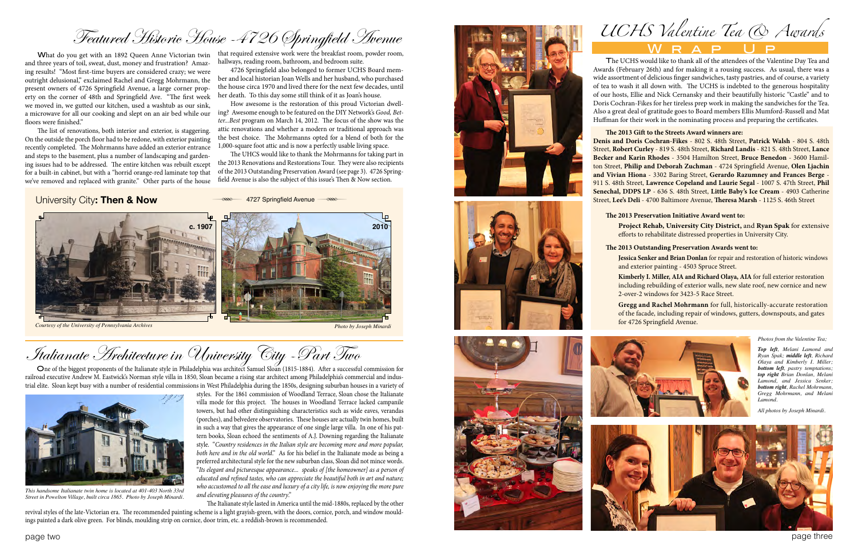page two page three

# Featured Historic House -4726 Springfield Avenue

What do you get with an 1892 Queen Anne Victorian twin and three years of toil, sweat, dust, money and frustration? Amaz ing results! "Most first-time buyers are considered crazy; we were outright delusional," exclaimed Rachel and Gregg Mohrmann, the present owners of 4726 Springfield Avenue, a large corner prop erty on the corner of 48th and Springfield Ave. "The first week we moved in, we gutted our kitchen, used a washtub as our sink, a microwave for all our cooking and slept on an air bed while our ing? Awesome enough to be featured on the DIY Network's *Good, Bet*  floors were finished."

The list of renovations, both interior and exterior, is staggering. On the outside the porch floor had to be redone, with exterior painting recently completed. The Mohrmanns have added an exterior entrance and steps to the basement, plus a number of landscaping and garden ing issues had to be addressed. The entire kitchen was rebuilt except for a built-in cabinet, but with a "horrid orange-red laminate top that we've removed and replaced with granite." Other parts of the house

that required extensive work were the breakfast room, powder room, hallways, reading room, bathroom, and bedroom suite.

4726 Springfield also belonged to former UCHS Board mem ber and local historian Joan Wells and her husband, who purchased the house circa 1970 and lived there for the next few decades, until her death. To this day some still think of it as Joan's house.

How awesome is the restoration of this proud Victorian dwell *ter...Best* program on March 14, 2012. The focus of the show was the attic renovations and whether a modern or traditional approach was the best choice. The Mohrmanns opted for a blend of both for the 1,000-square foot attic and is now a perfectly usable living space.

The UHCS would like to thank the Mohrmanns for taking part in the 2013 Renovations and Restorations Tour. They were also recipients of the 2013 Outstanding Preservation Award (see page 3). 4726 Spring field Avenue is also the subject of this issue's Then & Now section.

### University City**: Then & Now**



**RESERVING MARKET AVERTIES** 

# Italianate Architecture in University City -Part Two

One of the biggest proponents of the Italianate style in Philadelphia was architect Samuel Sloan (1815-1884). After a successful commission for railroad executive Andrew M. Eastwick's Norman style villa in 1850, Sloan became a rising star architect among Philadelphia's commercial and indus trial elite. Sloan kept busy with a number of residential commissions in West Philadelphia during the 1850s, designing suburban houses in a variety of



styles. For the 1861 commission of Woodland Terrace, Sloan chose the Italianate villa mode for this project. The houses in Woodland Terrace lacked campanile towers, but had other distinguishing characteristics such as wide eaves, verandas (porches), and belvedere observatories. These houses are actually twin homes, built in such a way that gives the appearance of one single large villa. In one of his pat tern books, Sloan echoed the sentiments of A.J. Downing regarding the Italianate style. "*Country residences in the Italian style are becoming more and more popular, both here and in the old world*." As for his belief in the Italianate mode as being a preferred architectural style for the new suburban class, Sloan did not mince words. "*Its elegant and picturesque appearance... speaks of [the homeowner] as a person of educated and refined tastes, who can appreciate the beautiful both in art and nature; who accustomed to all the ease and luxury of a city life, is now enjoying the more pure and elevating pleasures of the country*."

 The Italianate style lasted in America until the mid-1880s, replaced by the other revival styles of the late-Victorian era. The recommended painting scheme is a light grayish-green, with the doors, cornice, porch, and window mould ings painted a dark olive green. For blinds, moulding strip on cornice, door trim, etc. a reddish-brown is recommended.











*This handsome Italianate twin home is located at 401-403 North 33rd Street in Powelton Village, built circa 1865. Photo by Joseph Minardi.*

*UCHS Valentine Tea & Awards*  Wrap Up

The UCHS would like to thank all of the attendees of the Valentine Day Tea and Awards (February 26th) and for making it a rousing success. As usual, there was a wide assortment of delicious finger sandwiches, tasty pastries, and of course, a variety of tea to wash it all down with. The UCHS is indebted to the generous hospitality of our hosts, Ellie and Nick Cernansky and their beautifully historic "Castle" and to Doris Cochran-Fikes for her tireless prep work in making the sandwiches for the Tea. Also a great deal of gratitude goes to Board members Ellis Mumford-Russell and Mat Huffman for their work in the nominating process and preparing the certificates.

**The 2013 Gift to the Streets Award winners are: Denis and Doris Cochran-Fikes** - 802 S. 48th Street, **Patrick Walsh** - 804 S. 48th Street, **Robert Curley** - 819 S. 48th Street, **Richard Landis** - 821 S. 48th Street, **Lance Becker and Karin Rhodes** - 3504 Hamilton Street, **Bruce Benedon** - 3600 Hamil ton Street, **Philip and Deborah Zuchman** - 4724 Springfield Avenue, **Olen Ljachin and Vivian Hiona** - 3302 Baring Street, **Gerardo Razumney and Frances Berge** - 911 S. 48th Street, **Lawrence Copeland and Laurie Segal** - 1007 S. 47th Street, **Phil Senechal, DDPS LP** - 636 S. 48th Street, **Little Baby's Ice Cream** - 4903 Catherine Street, **Lee's Deli** - 4700 Baltimore Avenue, **Theresa Marsh** - 1125 S. 46th Street





### **The 2013 Preservation Initiative Award went to:**

 **Project Rehab, University City District,** and **Ryan Spak** for extensive efforts to rehabilitate distressed properties in University City.

### **The 2013 Outstanding Preservation Awards went to:**

 **Jessica Senker and Brian Donlan** for repair and restoration of historic windows and exterior painting - 4503 Spruce Street.

 **Kimberly I. Miller, AIA and Richard Olaya, AIA** for full exterior restoration including rebuilding of exterior walls, new slate roof, new cornice and new 2-over-2 windows for 3423-5 Race Street.

 **Gregg and Rachel Mohrmann** for full, historically-accurate restoration of the facade, including repair of windows, gutters, downspouts, and gates for 4726 Springfield Avenue.

### *Photos from the Valentine Tea;*

*Top left, Melani Lamond and Ryan Spak; middle left, Richard Olaya and Kimberly I. Miller; bottom left, pastry temptations; top right Brian Donlan, Melani Lamond, and Jessica Senker; bottom right, Rachel Mohrmann, Gregg Mohrmann, and Melani Lamond.*

*All photos by Joseph Minardi.*